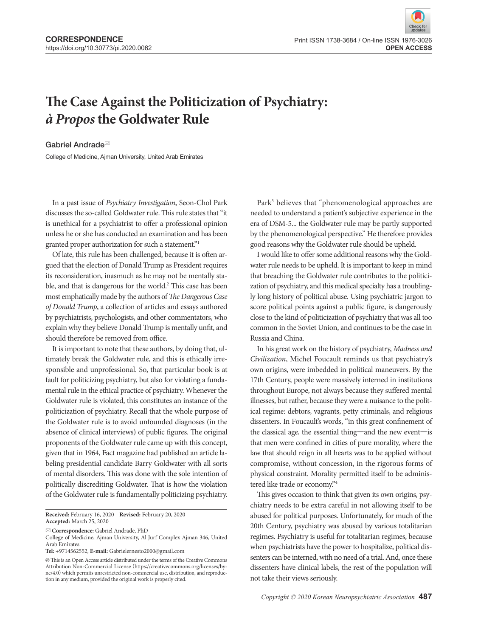## **The Case Against the Politicization of Psychiatry: à Propos the Goldwater Rule**

Gabriel Andrade<sup>⊠</sup>

College of Medicine, Ajman University, United Arab Emirates

In a past issue of Psychiatry Investigation, Seon-Chol Park discusses the so-called Goldwater rule. This rule states that "it is unethical for a psychiatrist to offer a professional opinion unless he or she has conducted an examination and has been granted proper authorization for such a statement."<sup>1</sup>

Of late, this rule has been challenged, because it is often argued that the election of Donald Trump as President requires its reconsideration, inasmuch as he may not be mentally stable, and that is dangerous for the world.<sup>2</sup> This case has been most emphatically made by the authors of The Dangerous Case of Donald Trump, a collection of articles and essays authored by psychiatrists, psychologists, and other commentators, who explain why they believe Donald Trump is mentally unfit, and should therefore be removed from office.

It is important to note that these authors, by doing that, ultimately break the Goldwater rule, and this is ethically irresponsible and unprofessional. So, that particular book is at fault for politicizing psychiatry, but also for violating a fundamental rule in the ethical practice of psychiatry. Whenever the Goldwater rule is violated, this constitutes an instance of the politicization of psychiatry. Recall that the whole purpose of the Goldwater rule is to avoid unfounded diagnoses (in the absence of clinical interviews) of public figures. The original proponents of the Goldwater rule came up with this concept, given that in 1964, Fact magazine had published an article labeling presidential candidate Barry Goldwater with all sorts of mental disorders. This was done with the sole intention of politically discrediting Goldwater. That is how the violation of the Goldwater rule is fundamentally politicizing psychiatry.

**Received:** February 16, 2020 **Revised:** February 20, 2020 **Accepted:** March 25, 2020

**Correspondence:** Gabriel Andrade, PhD

**Tel:** +9714562552, **E-mail:** Gabrielernesto2000@gmail.com

 $\circledcirc$  This is an Open Access article distributed under the terms of the Creative Commons Attribution Non-Commercial License (https://creativecommons.org/licenses/bync/4.0) which permits unrestricted non-commercial use, distribution, and reproduction in any medium, provided the original work is properly cited.

Park<sup>3</sup> believes that "phenomenological approaches are needed to understand a patient's subjective experience in the era of DSM-5... the Goldwater rule may be partly supported by the phenomenological perspective." He therefore provides good reasons why the Goldwater rule should be upheld.

I would like to offer some additional reasons why the Goldwater rule needs to be upheld. It is important to keep in mind that breaching the Goldwater rule contributes to the politicization of psychiatry, and this medical specialty has a troublingly long history of political abuse. Using psychiatric jargon to score political points against a public figure, is dangerously close to the kind of politicization of psychiatry that was all too common in the Soviet Union, and continues to be the case in Russia and China.

In his great work on the history of psychiatry, Madness and Civilization, Michel Foucault reminds us that psychiatry's own origins, were imbedded in political maneuvers. By the 17th Century, people were massively interned in institutions throughout Europe, not always because they suffered mental illnesses, but rather, because they were a nuisance to the political regime: debtors, vagrants, petty criminals, and religious dissenters. In Foucault's words, "in this great confinement of the classical age, the essential thing—and the new event—is that men were confined in cities of pure morality, where the law that should reign in all hearts was to be applied without compromise, without concession, in the rigorous forms of physical constraint. Morality permitted itself to be administered like trade or economy."<sup>4</sup>

This gives occasion to think that given its own origins, psychiatry needs to be extra careful in not allowing itself to be abused for political purposes. Unfortunately, for much of the 20th Century, psychiatry was abused by various totalitarian regimes. Psychiatry is useful for totalitarian regimes, because when psychiatrists have the power to hospitalize, political dissenters can be interned, with no need of a trial. And, once these dissenters have clinical labels, the rest of the population will not take their views seriously.

College of Medicine, Ajman University, Al Jurf Complex Ajman 346, United Arab Emirates